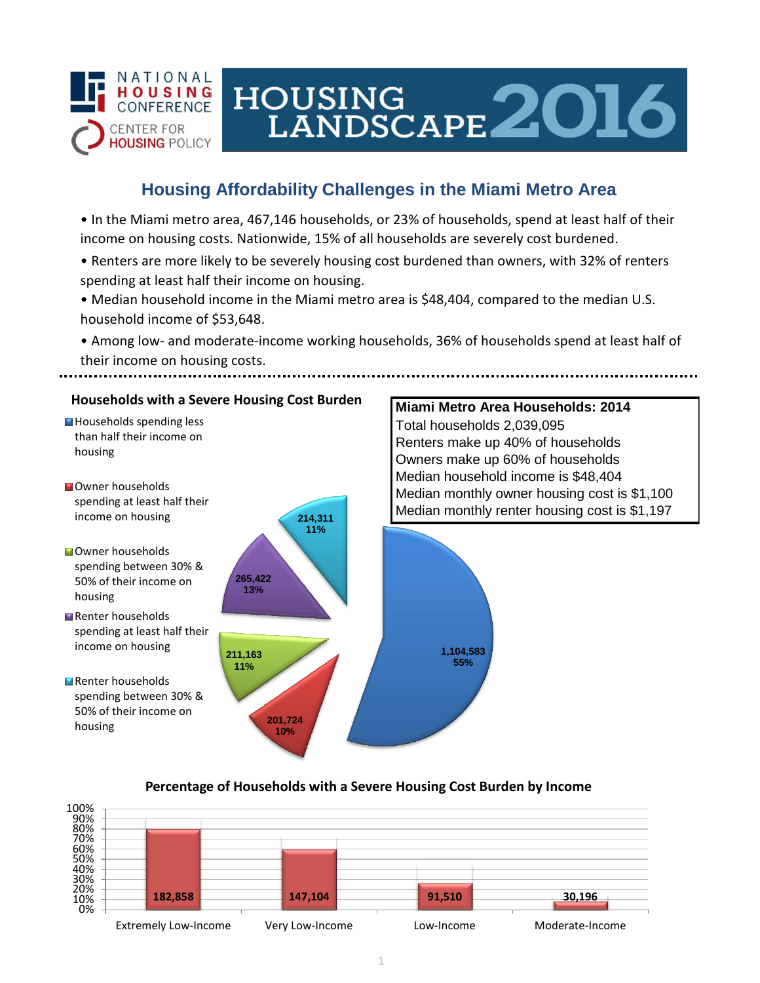

# HOUSING LANDSCAPE 2016

## **Housing Affordability Challenges in the Miami Metro Area**

• In the Miami metro area, 467,146 households, or 23% of households, spend at least half of their income on housing costs. Nationwide, 15% of all households are severely cost burdened.

- Renters are more likely to be severely housing cost burdened than owners, with 32% of renters spending at least half their income on housing.
- Median household income in the Miami metro area is \$48,404, compared to the median U.S. household income of \$53,648.
- Among low- and moderate-income working households, 36% of households spend at least half of their income on housing costs.



### **Percentage of Households with a Severe Housing Cost Burden by Income**